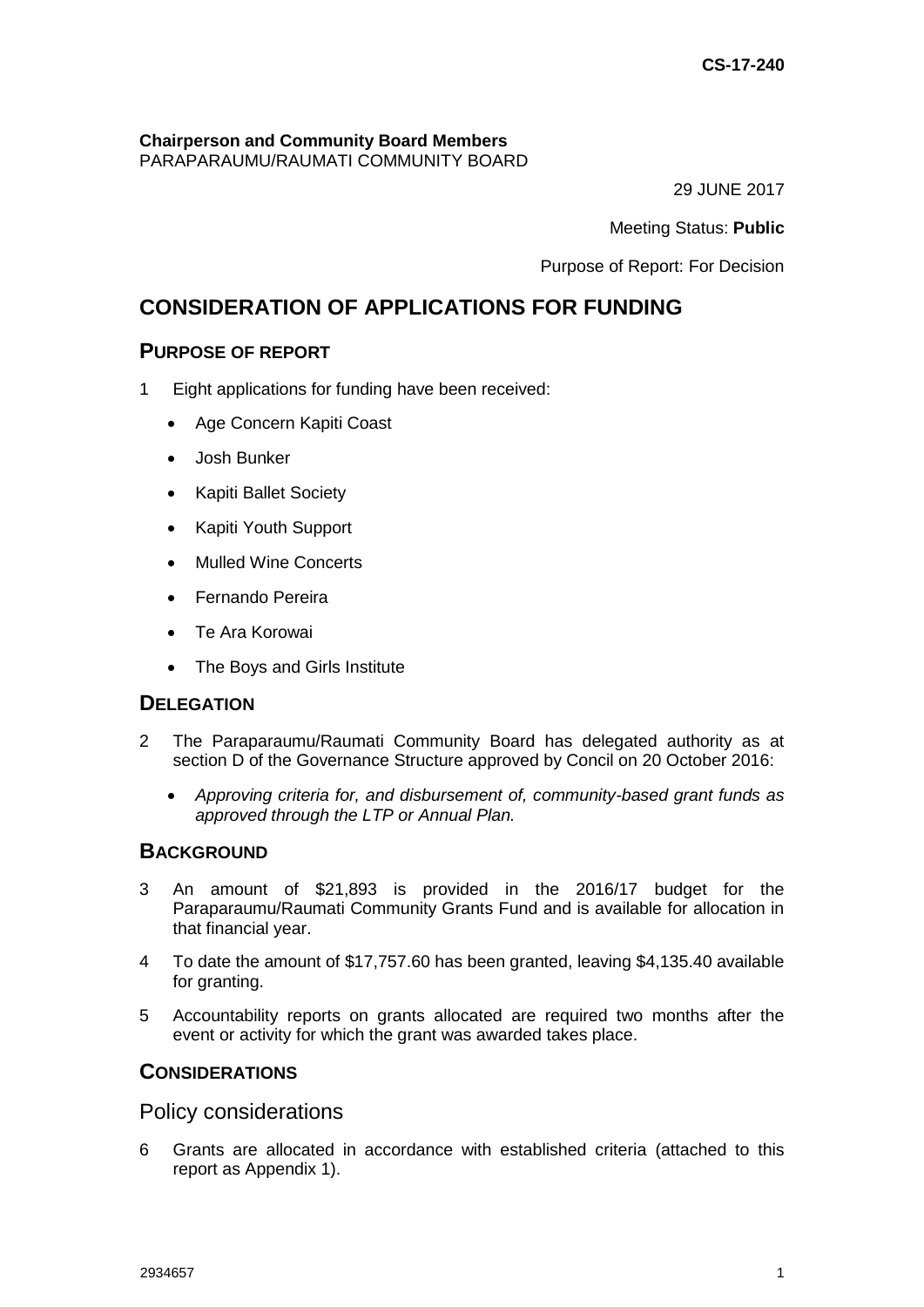# **Chairperson and Community Board Members**

PARAPARAUMU/RAUMATI COMMUNITY BOARD

29 JUNE 2017

Meeting Status: **Public**

Purpose of Report: For Decision

# **CONSIDERATION OF APPLICATIONS FOR FUNDING**

# **PURPOSE OF REPORT**

- 1 Eight applications for funding have been received:
	- Age Concern Kapiti Coast
	- Josh Bunker
	- Kapiti Ballet Society
	- Kapiti Youth Support
	- Mulled Wine Concerts
	- Fernando Pereira
	- Te Ara Korowai
	- The Boys and Girls Institute

## **DELEGATION**

- 2 The Paraparaumu/Raumati Community Board has delegated authority as at section D of the Governance Structure approved by Concil on 20 October 2016:
	- *Approving criteria for, and disbursement of, community-based grant funds as approved through the LTP or Annual Plan.*

# **BACKGROUND**

- 3 An amount of \$21,893 is provided in the 2016/17 budget for the Paraparaumu/Raumati Community Grants Fund and is available for allocation in that financial year.
- 4 To date the amount of \$17,757.60 has been granted, leaving \$4,135.40 available for granting.
- 5 Accountability reports on grants allocated are required two months after the event or activity for which the grant was awarded takes place.

## **CONSIDERATIONS**

Policy considerations

6 Grants are allocated in accordance with established criteria (attached to this report as Appendix 1).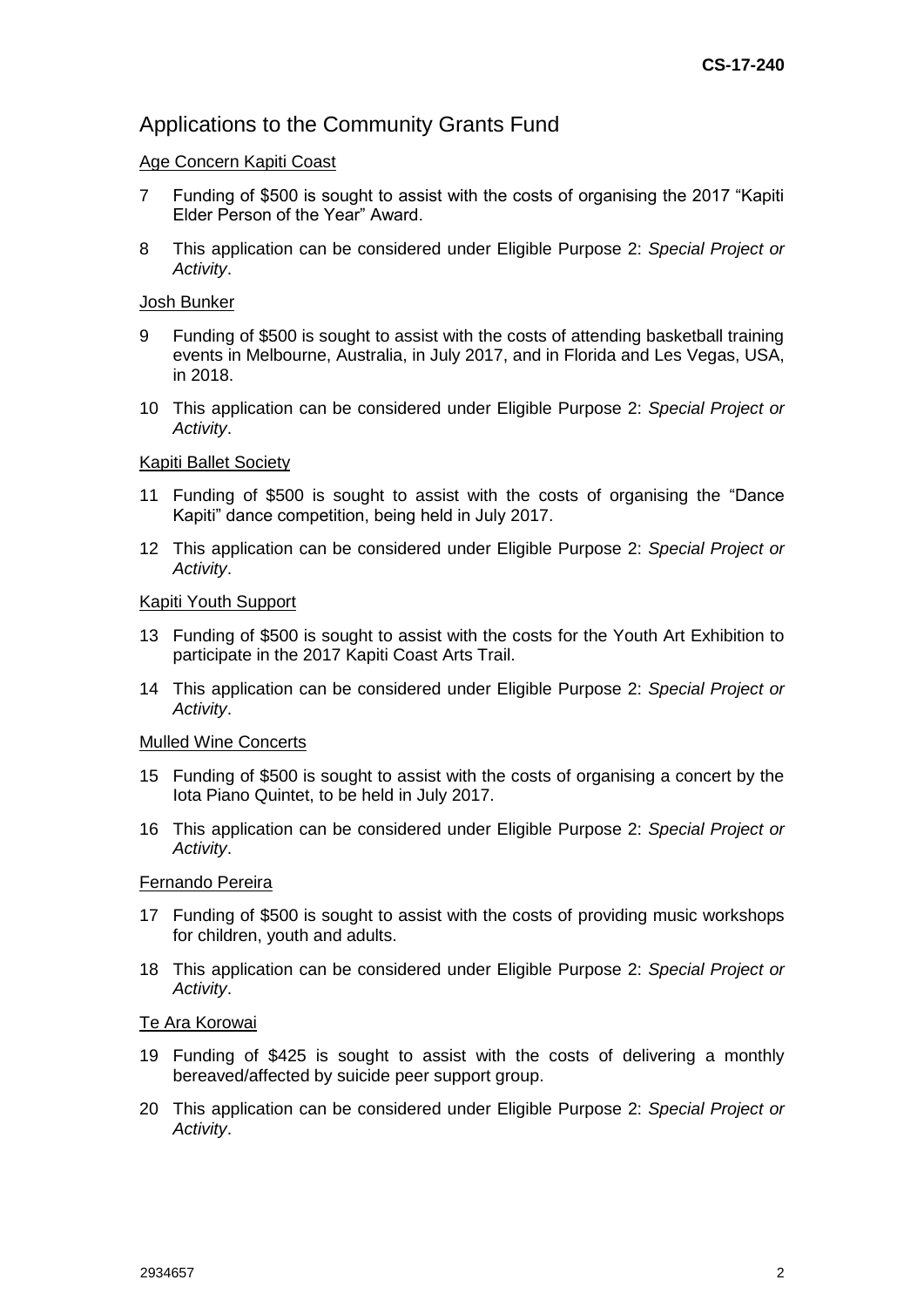# Applications to the Community Grants Fund

### Age Concern Kapiti Coast

- 7 Funding of \$500 is sought to assist with the costs of organising the 2017 "Kapiti Elder Person of the Year" Award.
- 8 This application can be considered under Eligible Purpose 2: *Special Project or Activity*.

#### Josh Bunker

- 9 Funding of \$500 is sought to assist with the costs of attending basketball training events in Melbourne, Australia, in July 2017, and in Florida and Les Vegas, USA, in 2018.
- 10 This application can be considered under Eligible Purpose 2: *Special Project or Activity*.

#### Kapiti Ballet Society

- 11 Funding of \$500 is sought to assist with the costs of organising the "Dance Kapiti" dance competition, being held in July 2017.
- 12 This application can be considered under Eligible Purpose 2: *Special Project or Activity*.

#### Kapiti Youth Support

- 13 Funding of \$500 is sought to assist with the costs for the Youth Art Exhibition to participate in the 2017 Kapiti Coast Arts Trail.
- 14 This application can be considered under Eligible Purpose 2: *Special Project or Activity*.

#### Mulled Wine Concerts

- 15 Funding of \$500 is sought to assist with the costs of organising a concert by the Iota Piano Quintet, to be held in July 2017.
- 16 This application can be considered under Eligible Purpose 2: *Special Project or Activity*.

#### Fernando Pereira

- 17 Funding of \$500 is sought to assist with the costs of providing music workshops for children, youth and adults.
- 18 This application can be considered under Eligible Purpose 2: *Special Project or Activity*.

#### Te Ara Korowai

- 19 Funding of \$425 is sought to assist with the costs of delivering a monthly bereaved/affected by suicide peer support group.
- 20 This application can be considered under Eligible Purpose 2: *Special Project or Activity*.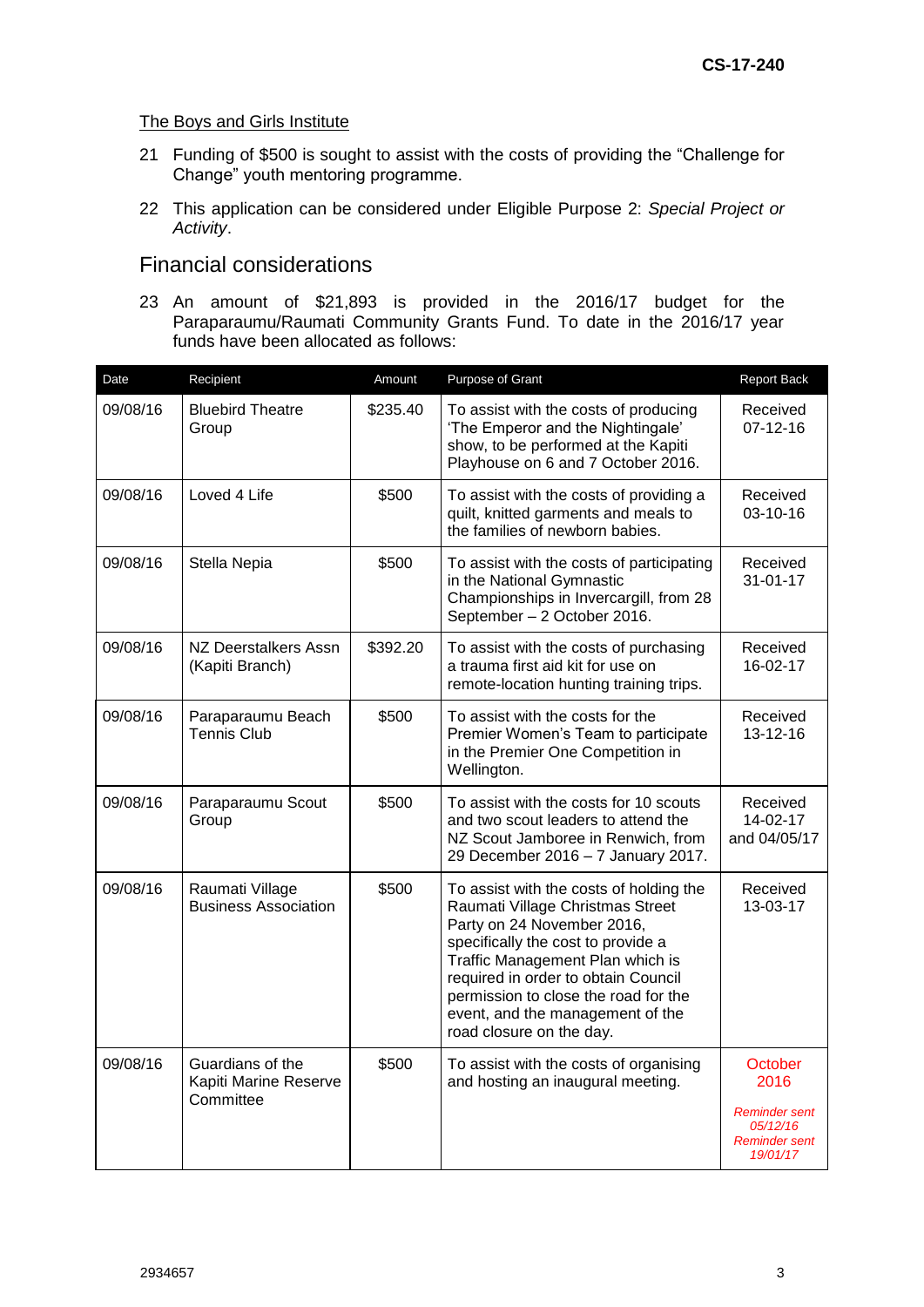### The Boys and Girls Institute

- 21 Funding of \$500 is sought to assist with the costs of providing the "Challenge for Change" youth mentoring programme.
- 22 This application can be considered under Eligible Purpose 2: *Special Project or Activity*.

## Financial considerations

23 An amount of \$21,893 is provided in the 2016/17 budget for the Paraparaumu/Raumati Community Grants Fund. To date in the 2016/17 year funds have been allocated as follows:

| Date     | Recipient                                              | Amount   | Purpose of Grant                                                                                                                                                                                                                                                                                                                                           | Report Back                                                                      |
|----------|--------------------------------------------------------|----------|------------------------------------------------------------------------------------------------------------------------------------------------------------------------------------------------------------------------------------------------------------------------------------------------------------------------------------------------------------|----------------------------------------------------------------------------------|
| 09/08/16 | <b>Bluebird Theatre</b><br>Group                       | \$235.40 | To assist with the costs of producing<br>'The Emperor and the Nightingale'<br>show, to be performed at the Kapiti<br>Playhouse on 6 and 7 October 2016.                                                                                                                                                                                                    | Received<br>$07 - 12 - 16$                                                       |
| 09/08/16 | Loved 4 Life                                           | \$500    | To assist with the costs of providing a<br>quilt, knitted garments and meals to<br>the families of newborn babies.                                                                                                                                                                                                                                         | Received<br>03-10-16                                                             |
| 09/08/16 | Stella Nepia                                           | \$500    | To assist with the costs of participating<br>in the National Gymnastic<br>Championships in Invercargill, from 28<br>September - 2 October 2016.                                                                                                                                                                                                            | Received<br>$31 - 01 - 17$                                                       |
| 09/08/16 | <b>NZ Deerstalkers Assn</b><br>(Kapiti Branch)         | \$392.20 | To assist with the costs of purchasing<br>a trauma first aid kit for use on<br>remote-location hunting training trips.                                                                                                                                                                                                                                     | Received<br>16-02-17                                                             |
| 09/08/16 | Paraparaumu Beach<br><b>Tennis Club</b>                | \$500    | To assist with the costs for the<br>Premier Women's Team to participate<br>in the Premier One Competition in<br>Wellington.                                                                                                                                                                                                                                | Received<br>13-12-16                                                             |
| 09/08/16 | Paraparaumu Scout<br>Group                             | \$500    | To assist with the costs for 10 scouts<br>and two scout leaders to attend the<br>NZ Scout Jamboree in Renwich, from<br>29 December 2016 - 7 January 2017.                                                                                                                                                                                                  | Received<br>14-02-17<br>and 04/05/17                                             |
| 09/08/16 | Raumati Village<br><b>Business Association</b>         | \$500    | To assist with the costs of holding the<br>Received<br>Raumati Village Christmas Street<br>13-03-17<br>Party on 24 November 2016,<br>specifically the cost to provide a<br>Traffic Management Plan which is<br>required in order to obtain Council<br>permission to close the road for the<br>event, and the management of the<br>road closure on the day. |                                                                                  |
| 09/08/16 | Guardians of the<br>Kapiti Marine Reserve<br>Committee | \$500    | To assist with the costs of organising<br>and hosting an inaugural meeting.                                                                                                                                                                                                                                                                                | October<br>2016<br><b>Reminder sent</b><br>05/12/16<br>Reminder sent<br>19/01/17 |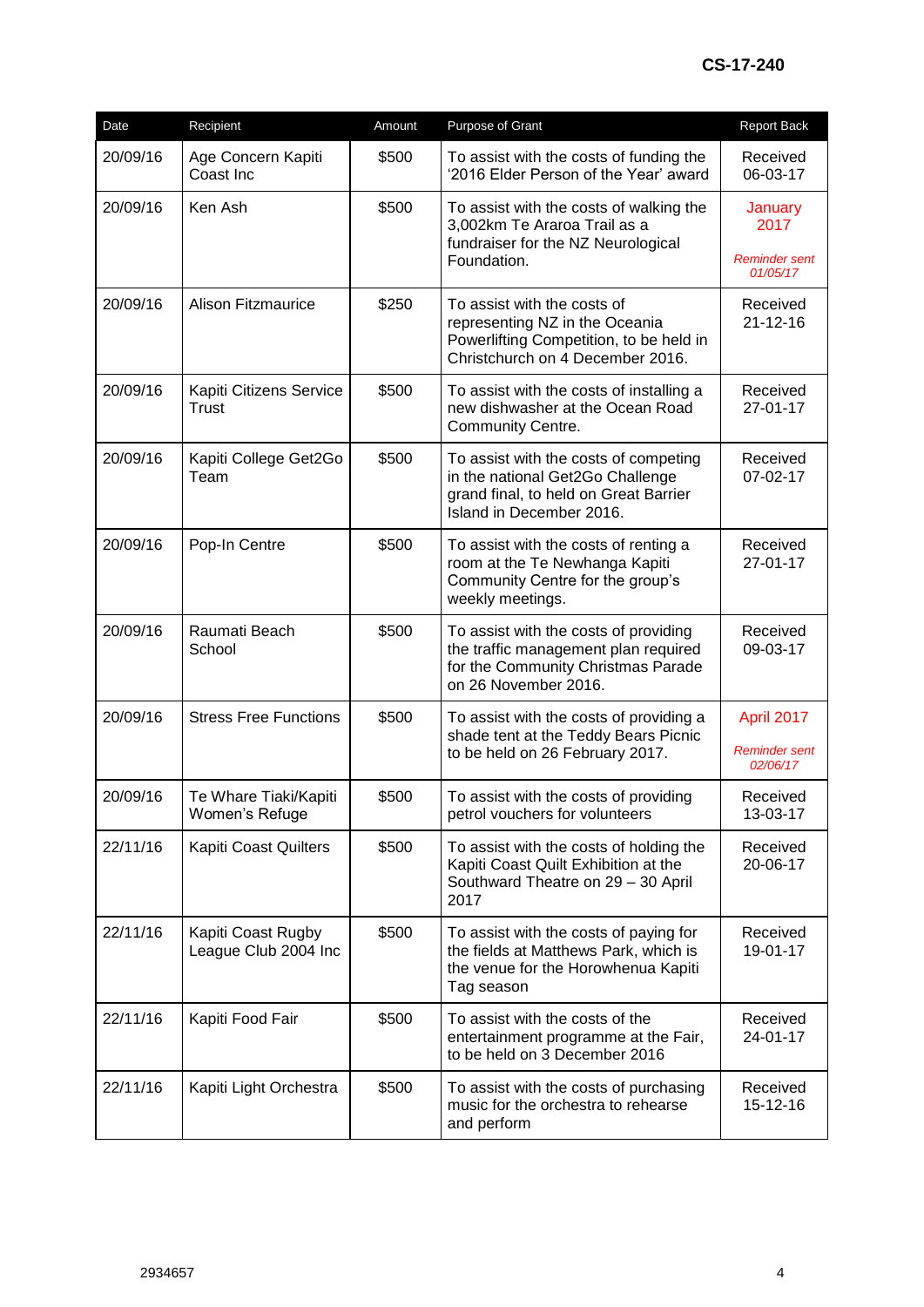| Date     | Recipient                                  | Amount | Purpose of Grant                                                                                                                                                     | <b>Report Back</b>                      |
|----------|--------------------------------------------|--------|----------------------------------------------------------------------------------------------------------------------------------------------------------------------|-----------------------------------------|
| 20/09/16 | Age Concern Kapiti<br>Coast Inc            | \$500  | To assist with the costs of funding the<br>'2016 Elder Person of the Year' award                                                                                     | Received<br>06-03-17                    |
| 20/09/16 | Ken Ash                                    | \$500  | To assist with the costs of walking the<br>3,002km Te Araroa Trail as a<br>fundraiser for the NZ Neurological<br>Foundation.                                         | January<br>2017<br><b>Reminder sent</b> |
| 20/09/16 | <b>Alison Fitzmaurice</b>                  | \$250  | To assist with the costs of<br>representing NZ in the Oceania<br>Powerlifting Competition, to be held in<br>Christchurch on 4 December 2016.                         | 01/05/17<br>Received<br>$21 - 12 - 16$  |
| 20/09/16 | Kapiti Citizens Service<br>Trust           | \$500  | To assist with the costs of installing a<br>new dishwasher at the Ocean Road<br>Community Centre.                                                                    | Received<br>27-01-17                    |
| 20/09/16 | Kapiti College Get2Go<br>Team              | \$500  | To assist with the costs of competing<br>in the national Get2Go Challenge<br>grand final, to held on Great Barrier<br>Island in December 2016.                       | Received<br>07-02-17                    |
| 20/09/16 | Pop-In Centre                              | \$500  | To assist with the costs of renting a<br>room at the Te Newhanga Kapiti<br>Community Centre for the group's<br>weekly meetings.                                      | Received<br>27-01-17                    |
| 20/09/16 | Raumati Beach<br>School                    | \$500  | To assist with the costs of providing<br>Received<br>the traffic management plan required<br>09-03-17<br>for the Community Christmas Parade<br>on 26 November 2016.  |                                         |
| 20/09/16 | <b>Stress Free Functions</b>               | \$500  | To assist with the costs of providing a<br>April 2017<br>shade tent at the Teddy Bears Picnic<br><b>Reminder sent</b><br>to be held on 26 February 2017.<br>02/06/17 |                                         |
| 20/09/16 | Te Whare Tiaki/Kapiti<br>Women's Refuge    | \$500  | To assist with the costs of providing<br>petrol vouchers for volunteers                                                                                              | Received<br>13-03-17                    |
| 22/11/16 | Kapiti Coast Quilters                      | \$500  | To assist with the costs of holding the<br>Kapiti Coast Quilt Exhibition at the<br>Southward Theatre on 29 - 30 April<br>2017                                        | Received<br>20-06-17                    |
| 22/11/16 | Kapiti Coast Rugby<br>League Club 2004 Inc | \$500  | To assist with the costs of paying for<br>the fields at Matthews Park, which is<br>the venue for the Horowhenua Kapiti<br>Tag season                                 | Received<br>19-01-17                    |
| 22/11/16 | Kapiti Food Fair                           | \$500  | To assist with the costs of the<br>entertainment programme at the Fair,<br>to be held on 3 December 2016                                                             | Received<br>24-01-17                    |
| 22/11/16 | Kapiti Light Orchestra                     | \$500  | To assist with the costs of purchasing<br>music for the orchestra to rehearse<br>and perform                                                                         | Received<br>15-12-16                    |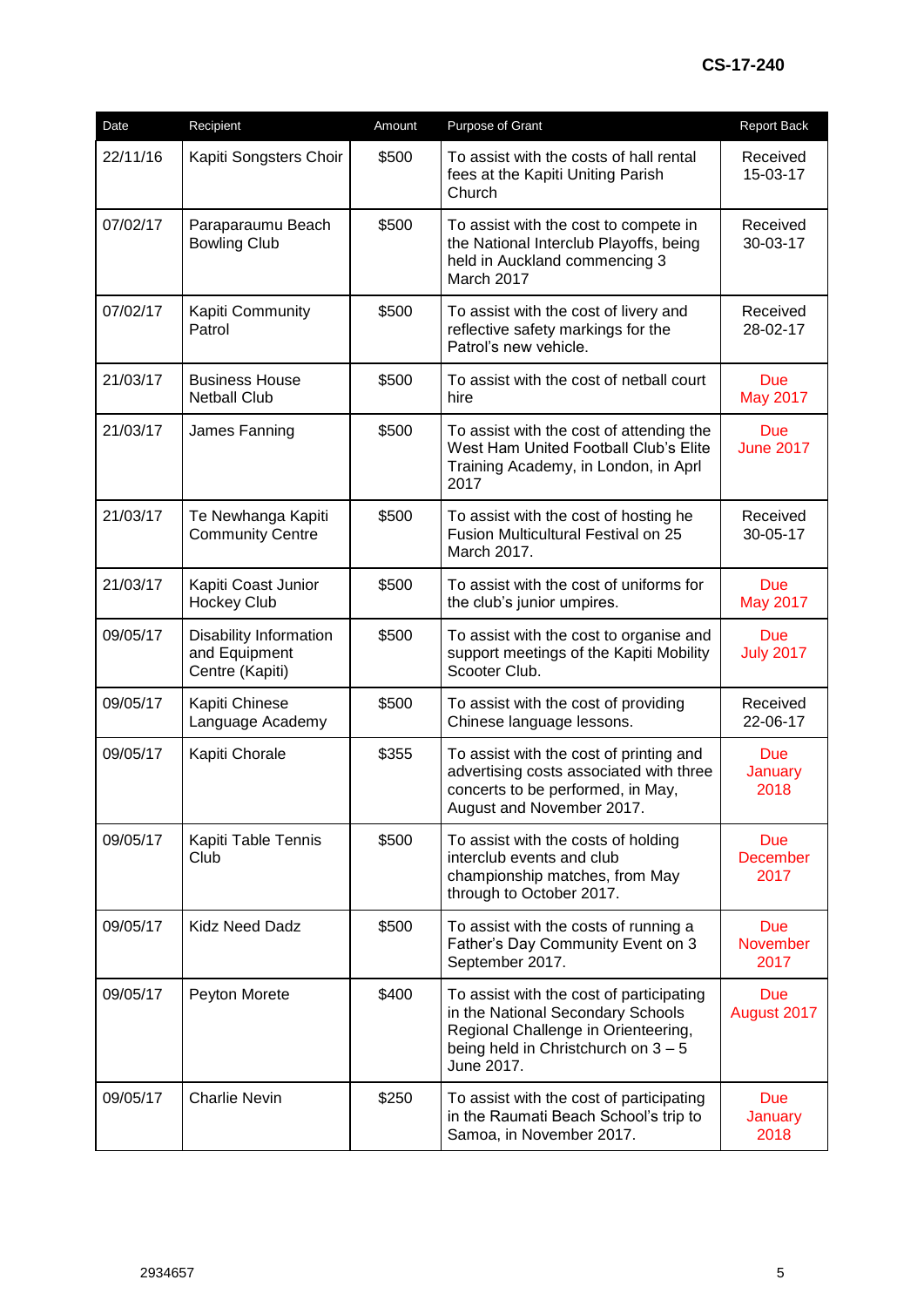| Date     | Recipient                                                  | Amount | Purpose of Grant                                                                                                                                                          | Report Back                           |
|----------|------------------------------------------------------------|--------|---------------------------------------------------------------------------------------------------------------------------------------------------------------------------|---------------------------------------|
| 22/11/16 | Kapiti Songsters Choir                                     | \$500  | To assist with the costs of hall rental<br>fees at the Kapiti Uniting Parish<br>Church                                                                                    | Received<br>15-03-17                  |
| 07/02/17 | Paraparaumu Beach<br><b>Bowling Club</b>                   | \$500  | To assist with the cost to compete in<br>the National Interclub Playoffs, being<br>held in Auckland commencing 3<br>March 2017                                            | Received<br>30-03-17                  |
| 07/02/17 | Kapiti Community<br>Patrol                                 | \$500  | To assist with the cost of livery and<br>reflective safety markings for the<br>Patrol's new vehicle.                                                                      | Received<br>28-02-17                  |
| 21/03/17 | <b>Business House</b><br><b>Netball Club</b>               | \$500  | To assist with the cost of netball court<br>hire                                                                                                                          | <b>Due</b><br><b>May 2017</b>         |
| 21/03/17 | James Fanning                                              | \$500  | To assist with the cost of attending the<br>West Ham United Football Club's Elite<br>Training Academy, in London, in Aprl<br>2017                                         | <b>Due</b><br><b>June 2017</b>        |
| 21/03/17 | Te Newhanga Kapiti<br><b>Community Centre</b>              | \$500  | To assist with the cost of hosting he<br>Fusion Multicultural Festival on 25<br>March 2017.                                                                               | Received<br>30-05-17                  |
| 21/03/17 | Kapiti Coast Junior<br><b>Hockey Club</b>                  | \$500  | To assist with the cost of uniforms for<br>the club's junior umpires.                                                                                                     | <b>Due</b><br><b>May 2017</b>         |
| 09/05/17 | Disability Information<br>and Equipment<br>Centre (Kapiti) | \$500  | To assist with the cost to organise and<br>support meetings of the Kapiti Mobility<br>Scooter Club.                                                                       | <b>Due</b><br><b>July 2017</b>        |
| 09/05/17 | Kapiti Chinese<br>Language Academy                         | \$500  | To assist with the cost of providing<br>Chinese language lessons.                                                                                                         | Received<br>22-06-17                  |
| 09/05/17 | Kapiti Chorale                                             | \$355  | To assist with the cost of printing and<br>advertising costs associated with three<br>concerts to be performed, in May,<br>August and November 2017.                      | <b>Due</b><br>January<br>2018         |
| 09/05/17 | Kapiti Table Tennis<br>Club                                | \$500  | To assist with the costs of holding<br>interclub events and club<br>championship matches, from May<br>through to October 2017.                                            | <b>Due</b><br><b>December</b><br>2017 |
| 09/05/17 | <b>Kidz Need Dadz</b>                                      | \$500  | To assist with the costs of running a<br>Father's Day Community Event on 3<br>September 2017.                                                                             | <b>Due</b><br><b>November</b><br>2017 |
| 09/05/17 | Peyton Morete                                              | \$400  | To assist with the cost of participating<br>in the National Secondary Schools<br>Regional Challenge in Orienteering,<br>being held in Christchurch on 3 - 5<br>June 2017. | <b>Due</b><br>August 2017             |
| 09/05/17 | <b>Charlie Nevin</b>                                       | \$250  | To assist with the cost of participating<br>in the Raumati Beach School's trip to<br>Samoa, in November 2017.                                                             | <b>Due</b><br>January<br>2018         |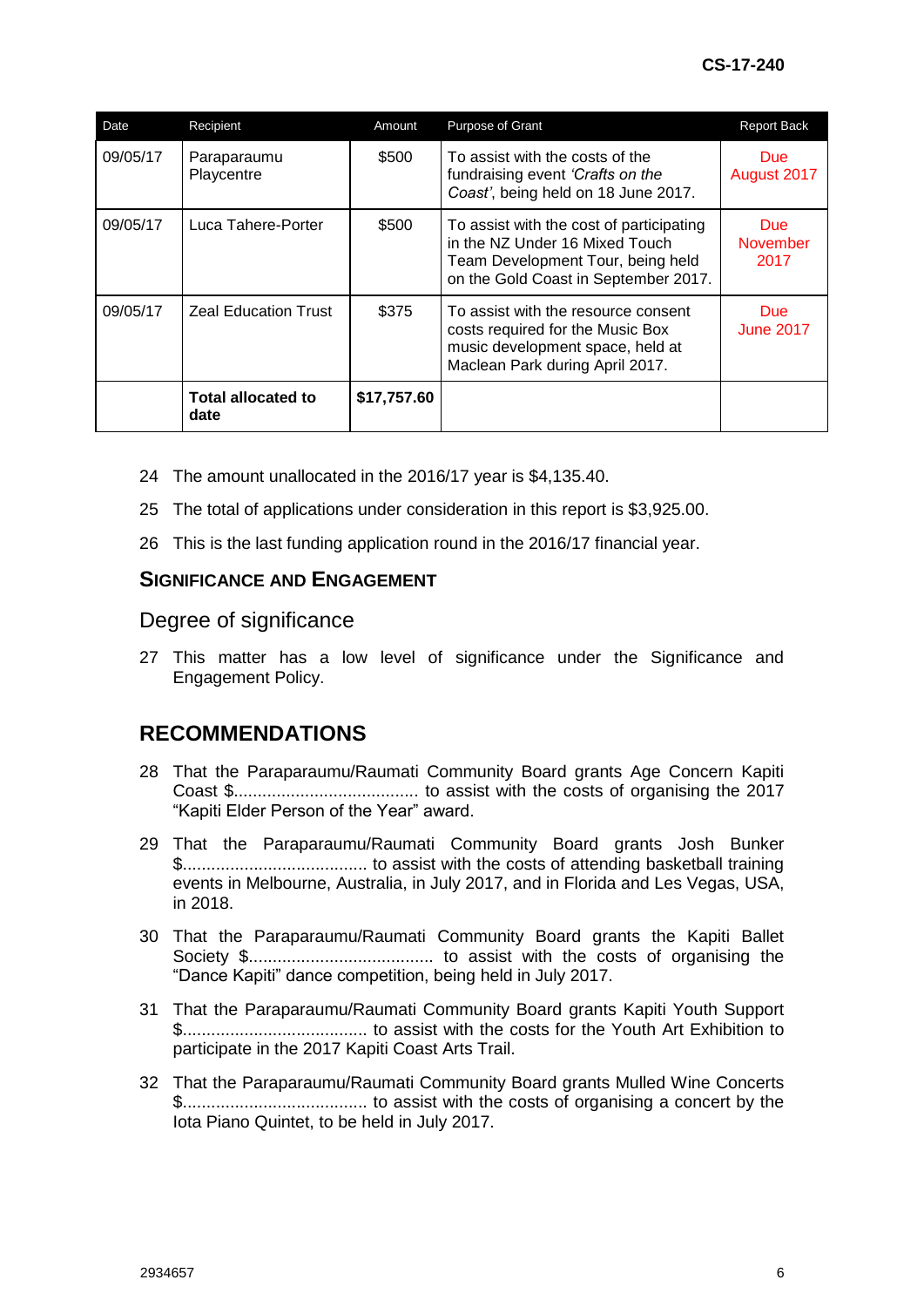| Date     | Recipient                         | Amount      | Purpose of Grant                                                                                                                                        | <b>Report Back</b>              |
|----------|-----------------------------------|-------------|---------------------------------------------------------------------------------------------------------------------------------------------------------|---------------------------------|
| 09/05/17 | Paraparaumu<br>Playcentre         | \$500       | To assist with the costs of the<br>fundraising event 'Crafts on the<br>Coast', being held on 18 June 2017.                                              | <b>Due</b><br>August 2017       |
| 09/05/17 | Luca Tahere-Porter                | \$500       | To assist with the cost of participating<br>in the NZ Under 16 Mixed Touch<br>Team Development Tour, being held<br>on the Gold Coast in September 2017. | Due:<br><b>November</b><br>2017 |
| 09/05/17 | <b>Zeal Education Trust</b>       | \$375       | To assist with the resource consent<br>costs required for the Music Box<br>music development space, held at<br>Maclean Park during April 2017.          | Due:<br><b>June 2017</b>        |
|          | <b>Total allocated to</b><br>date | \$17,757.60 |                                                                                                                                                         |                                 |

- 24 The amount unallocated in the 2016/17 year is \$4,135.40.
- 25 The total of applications under consideration in this report is \$3,925.00.
- 26 This is the last funding application round in the 2016/17 financial year.

### **SIGNIFICANCE AND ENGAGEMENT**

### Degree of significance

27 This matter has a low level of significance under the Significance and Engagement Policy.

# **RECOMMENDATIONS**

- 28 That the Paraparaumu/Raumati Community Board grants Age Concern Kapiti Coast \$....................................... to assist with the costs of organising the 2017 "Kapiti Elder Person of the Year" award.
- 29 That the Paraparaumu/Raumati Community Board grants Josh Bunker \$....................................... to assist with the costs of attending basketball training events in Melbourne, Australia, in July 2017, and in Florida and Les Vegas, USA, in 2018.
- 30 That the Paraparaumu/Raumati Community Board grants the Kapiti Ballet Society \$....................................... to assist with the costs of organising the "Dance Kapiti" dance competition, being held in July 2017.
- 31 That the Paraparaumu/Raumati Community Board grants Kapiti Youth Support \$....................................... to assist with the costs for the Youth Art Exhibition to participate in the 2017 Kapiti Coast Arts Trail.
- 32 That the Paraparaumu/Raumati Community Board grants Mulled Wine Concerts \$....................................... to assist with the costs of organising a concert by the Iota Piano Quintet, to be held in July 2017.